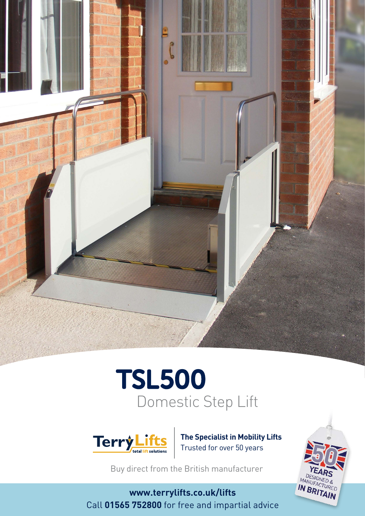

# Domestic Step Lift TSL500



**The Specialist in Mobility Lifts** Trusted for over 50 years

Buy direct from the British manufacturer

**www.terrylifts.co.uk/lifts** Call **01565 752800** for free and impartial advice